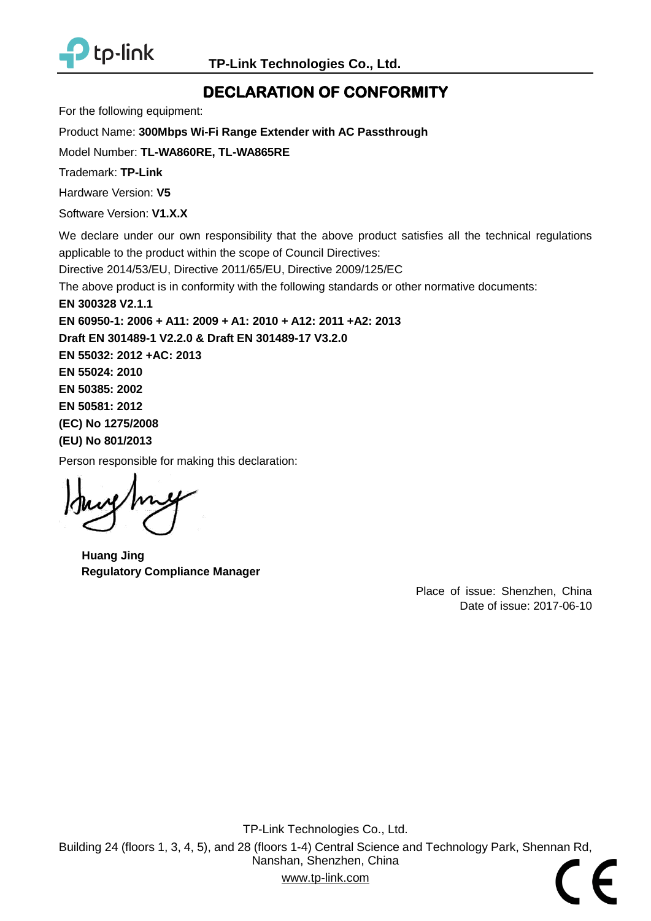

# **DECLARATION OF CONFORMITY**

For the following equipment:

<span id="page-0-2"></span>Product Name: **300Mbps Wi-Fi Range Extender with AC Passthrough**

<span id="page-0-0"></span>Model Number: **TL-WA860RE, TL-WA865RE**

Trademark: **TP-Link**

<span id="page-0-4"></span>Hardware Version: **V5**

<span id="page-0-5"></span>Software Version: **V1.X.X**

We declare under our own responsibility that the above product satisfies all the technical regulations applicable to the product within the scope of Council Directives:

Directive 2014/53/EU, Directive 2011/65/EU, Directive 2009/125/EC

The above product is in conformity with the following standards or other normative documents:

<span id="page-0-3"></span>**EN 300328 V2.1.1**

**EN 60950-1: 2006 + A11: 2009 + A1: 2010 + A12: 2011 +A2: 2013 Draft EN 301489-1 V2.2.0 & Draft EN 301489-17 V3.2.0 EN 55032: 2012 +AC: 2013 EN 55024: 2010 EN 50385: 2002 EN 50581: 2012 (EC) No 1275/2008 (EU) No 801/2013**

Person responsible for making this declaration:

**Huang Jing Regulatory Compliance Manager**

<span id="page-0-1"></span>Place of issue: Shenzhen, China Date of issue: 2017-06-10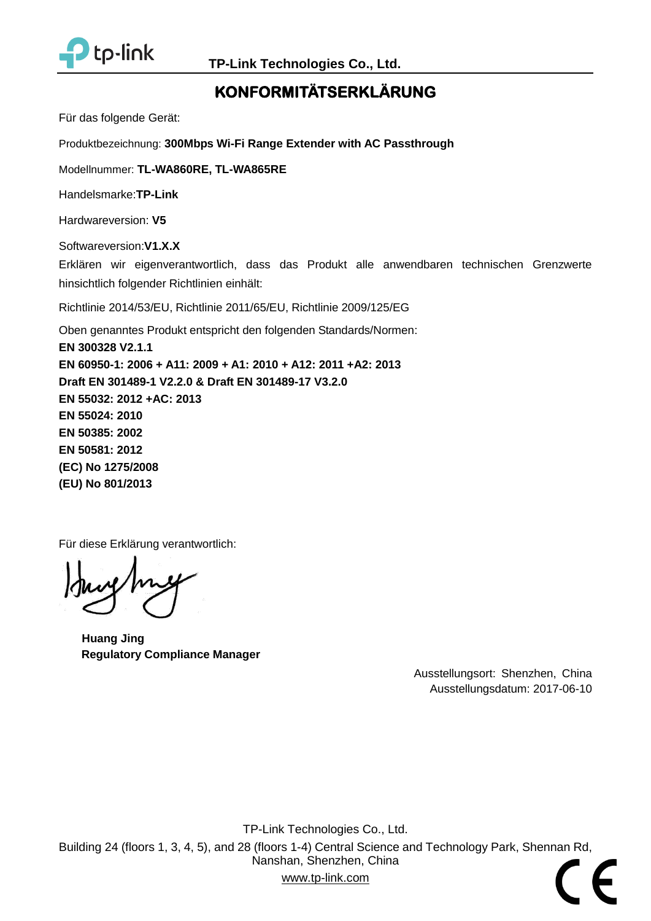

# **KONFORMITÄTSERKLÄRUNG**

Für das folgende Gerät:

Produktbezeichnung: **300Mbps Wi-Fi Range Extender with AC Passthrough**

Modellnummer: **[TL-WA860RE, TL-WA865RE](#page-0-0)**

Handelsmarke:**TP-Link**

Hardwareversion: **V5**

Softwareversion:**V1.X.X**

Erklären wir eigenverantwortlich, dass das Produkt alle anwendbaren technischen Grenzwerte hinsichtlich folgender Richtlinien einhält:

Richtlinie 2014/53/EU, Richtlinie 2011/65/EU, Richtlinie 2009/125/EG

Oben genanntes Produkt entspricht den folgenden Standards/Normen: **EN 300328 V2.1.1 EN 60950-1: 2006 + A11: 2009 + A1: 2010 + A12: 2011 +A2: 2013 Draft EN 301489-1 V2.2.0 & Draft EN 301489-17 V3.2.0 EN 55032: 2012 +AC: 2013 EN 55024: 2010 EN 50385: 2002 EN 50581: 2012 (EC) No 1275/2008 (EU) No 801/2013**

Für diese Erklärung verantwortlich:

**Huang Jing Regulatory Compliance Manager**

Ausstellungsort: Shenzhen, China Ausstellungsdatum: [2017-06-10](#page-0-1)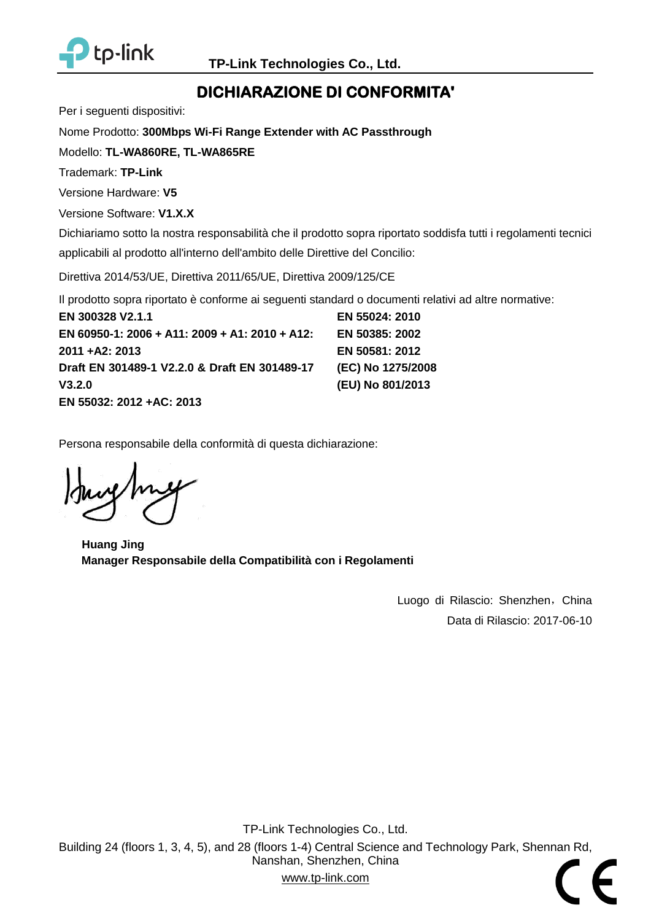

# **DICHIARAZIONE DI CONFORMITA'**

Per i seguenti dispositivi:

Nome Prodotto: **[300Mbps Wi-Fi Range Extender with AC Passthrough](#page-0-2)**

Modello: **[TL-WA860RE, TL-WA865RE](#page-0-0)**

Trademark: **TP-Link**

Versione Hardware: **V5**

Versione Software: **V1.X.X**

Dichiariamo sotto la nostra responsabilità che il prodotto sopra riportato soddisfa tutti i regolamenti tecnici applicabili al prodotto all'interno dell'ambito delle Direttive del Concilio:

Direttiva 2014/53/UE, Direttiva 2011/65/UE, Direttiva 2009/125/CE

Il prodotto sopra riportato è conforme ai seguenti standard o documenti relativi ad altre normative:

**[EN 300328 V2.1.1](#page-0-3) [EN 60950-1: 2006 + A11: 2009 + A1: 2010 + A12:](#page-0-3)  [2011 +A2: 2013](#page-0-3) [Draft EN 301489-1 V2.2.0](#page-0-3) & Draft EN 301489-17 [V3.2.0](#page-0-3) [EN 55032: 2012 +AC: 2013](#page-0-3) [EN 55024: 2010](#page-0-3) [EN 50385: 2002](#page-0-3) [EN 50581: 2012](#page-0-3) [\(EC\) No 1275/2008](#page-0-3) [\(EU\) No 801/2013](#page-0-3)**

Persona responsabile della conformità di questa dichiarazione:

**Huang Jing Manager Responsabile della Compatibilità con i Regolamenti**

Luogo di Rilascio: Shenzhen, China Data di Rilascio: [2017-06-10](#page-0-1)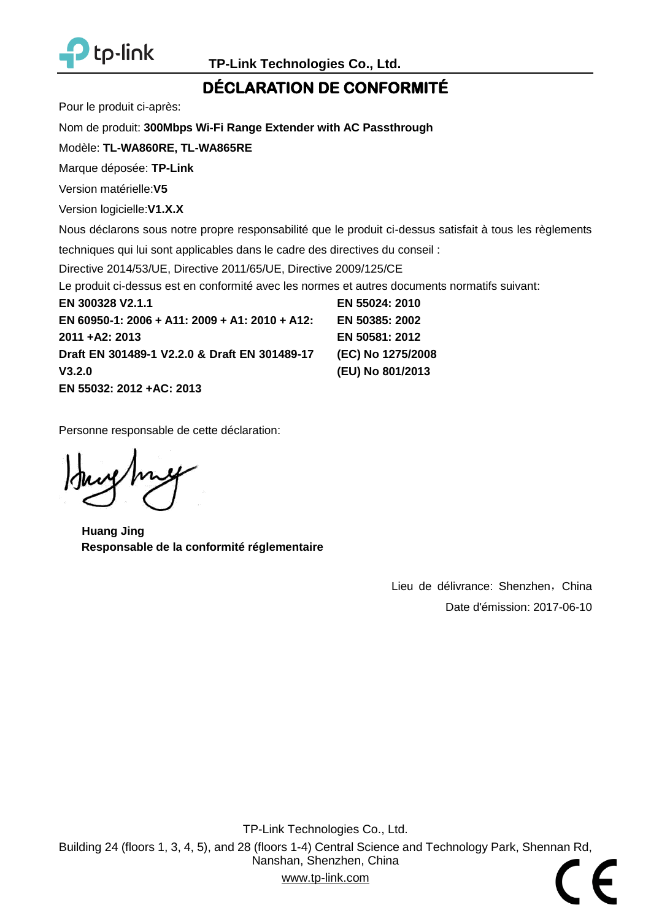

## **DÉ CLARATION DE CONFORMITÉ**

Pour le produit ci-après:

Nom de produit: **[300Mbps Wi-Fi Range Extender with AC Passthrough](#page-0-2)**

Modèle: **[TL-WA860RE, TL-WA865RE](#page-0-0)**

Marque déposée: **TP-Link**

Version matérielle:**V5**

Version logicielle:**V1.X.X**

Nous déclarons sous notre propre responsabilité que le produit ci-dessus satisfait à tous les règlements

techniques qui lui sont applicables dans le cadre des directives du conseil :

Directive 2014/53/UE, Directive 2011/65/UE, Directive 2009/125/CE

Le produit ci-dessus est en conformité avec les normes et autres documents normatifs suivant:

**[EN 300328 V2.1.1](#page-0-3) [EN 60950-1: 2006 + A11: 2009 + A1: 2010 + A12:](#page-0-3)  [2011 +A2: 2013](#page-0-3) [Draft EN 301489-1 V2.2.0](#page-0-3) & Draft EN 301489-17 [V3.2.0](#page-0-3) [EN 55032: 2012 +AC: 2013](#page-0-3) [EN 55024: 2010](#page-0-3) [EN 50385: 2002](#page-0-3) [EN 50581: 2012](#page-0-3) [\(EC\) No 1275/2008](#page-0-3) [\(EU\) No 801/2013](#page-0-3)**

Personne responsable de cette déclaration:

**Huang Jing Responsable de la conformité réglementaire**

Lieu de délivrance: Shenzhen, China Date d'émission: [2017-06-10](#page-0-1)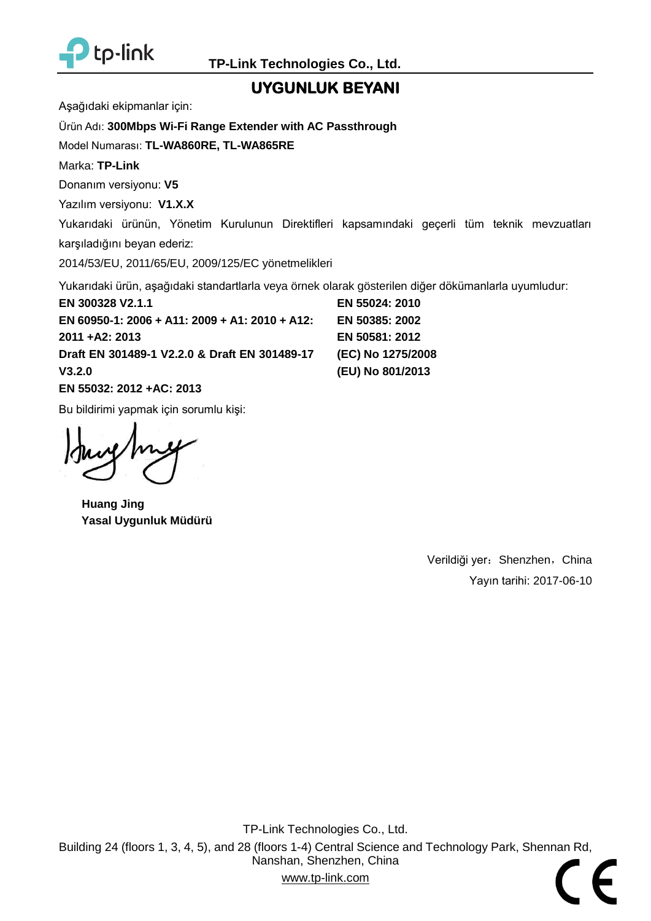

### **UYGUNLUK BEYANI**

Aşağıdaki ekipmanlar için:

Ürün Adı: **[300Mbps Wi-Fi Range Extender with AC Passthrough](#page-0-2)**

Model Numarası: **[TL-WA860RE, TL-WA865RE](#page-0-0)**

Marka: **TP-Link**

Donanım versiyonu: **V5**

Yazılım versiyonu: **V1.X.X**

Yukarıdaki ürünün, Yönetim Kurulunun Direktifleri kapsamındaki geçerli tüm teknik mevzuatları karşıladığını beyan ederiz:

2014/53/EU, 2011/65/EU, 2009/125/EC yönetmelikleri

Yukarıdaki ürün, aşağıdaki standartlarla veya örnek olarak gösterilen diğer dökümanlarla uyumludur:

**[EN 300328 V2.1.1](#page-0-3) [EN 60950-1: 2006 + A11: 2009 + A1: 2010 + A12:](#page-0-3)  [2011 +A2: 2013](#page-0-3) [Draft EN 301489-1 V2.2.0](#page-0-3) & Draft EN 301489-17 [V3.2.0](#page-0-3) [\(EU\) No 801/2013](#page-0-3)**

**[EN 55032: 2012 +AC: 2013](#page-0-3)**

Bu bildirimi yapmak için sorumlu kişi:

**Huang Jing Yasal Uygunluk Müdürü**

Verildiği yer: Shenzhen, China Yayın tarihi: [2017-06-10](#page-0-1)

**[EN 55024: 2010](#page-0-3) [EN 50385: 2002](#page-0-3) [EN 50581: 2012](#page-0-3) [\(EC\) No 1275/2008](#page-0-3)**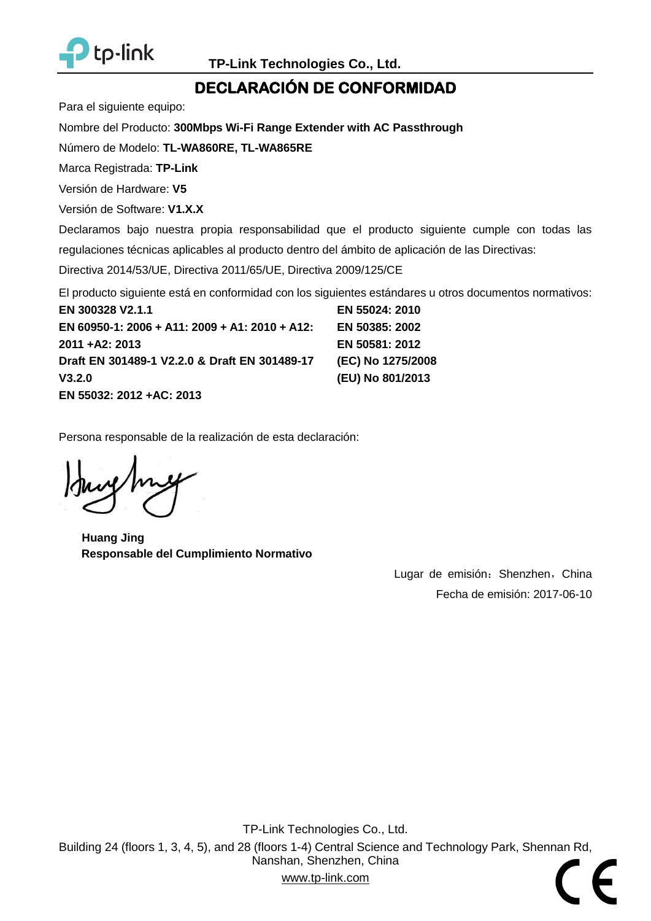

## **DECLARACIÓ N DE CONFORMIDAD**

Para el siguiente equipo:

Nombre del Producto: **[300Mbps Wi-Fi Range Extender with AC Passthrough](#page-0-2)**

Número de Modelo: **[TL-WA860RE, TL-WA865RE](#page-0-0)**

Marca Registrada: **TP-Link**

Versión de Hardware: **V5**

Versión de Software: **V1.X.X**

Declaramos bajo nuestra propia responsabilidad que el producto siguiente cumple con todas las regulaciones técnicas aplicables al producto dentro del ámbito de aplicación de las Directivas:

Directiva 2014/53/UE, Directiva 2011/65/UE, Directiva 2009/125/CE

El producto siguiente está en conformidad con los siguientes estándares u otros documentos normativos:

**[EN 300328 V2.1.1](#page-0-3) [EN 60950-1: 2006 + A11: 2009 + A1: 2010 + A12:](#page-0-3)  [2011 +A2: 2013](#page-0-3) [Draft EN 301489-1 V2.2.0](#page-0-3) & Draft EN 301489-17 [V3.2.0](#page-0-3) [EN 55032: 2012 +AC: 2013](#page-0-3) [EN 55024: 2010](#page-0-3) [EN 50385: 2002](#page-0-3) [EN 50581: 2012](#page-0-3) [\(EC\) No 1275/2008](#page-0-3) [\(EU\) No 801/2013](#page-0-3)**

Persona responsable de la realización de esta declaración:

**Huang Jing Responsable del Cumplimiento Normativo**

Lugar de emisión: Shenzhen, China Fecha de emisión: [2017-06-10](#page-0-1)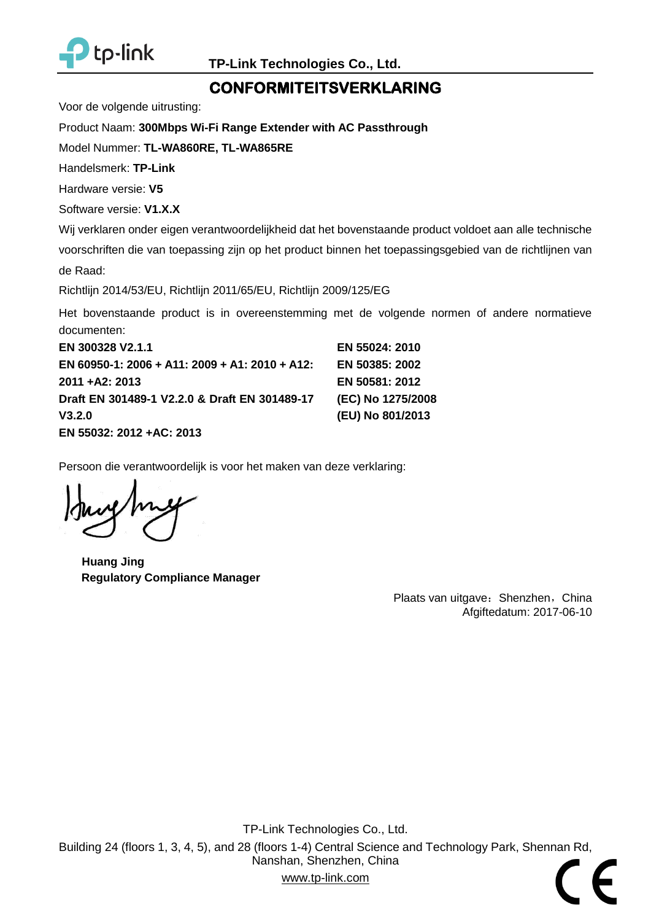

## **CONFORMITEITSVERKLARING**

Voor de volgende uitrusting:

Product Naam: **[300Mbps Wi-Fi Range Extender with AC Passthrough](#page-0-2)**

Model Nummer: **[TL-WA860RE, TL-WA865RE](#page-0-0)**

Handelsmerk: **TP-Link**

Hardware versie: **V5**

Software versie: **V1.X.X**

Wij verklaren onder eigen verantwoordelijkheid dat het bovenstaande product voldoet aan alle technische

voorschriften die van toepassing zijn op het product binnen het toepassingsgebied van de richtlijnen van de Raad:

Richtlijn 2014/53/EU, Richtlijn 2011/65/EU, Richtlijn 2009/125/EG

Het bovenstaande product is in overeenstemming met de volgende normen of andere normatieve documenten:

| EN 300328 V2.1.1                               | EN 55024: 2010    |
|------------------------------------------------|-------------------|
| EN 60950-1: 2006 + A11: 2009 + A1: 2010 + A12: | EN 50385: 2002    |
| 2011 + A2: 2013                                | EN 50581: 2012    |
| Draft EN 301489-1 V2.2.0 & Draft EN 301489-17  | (EC) No 1275/2008 |
| V3.2.0                                         | (EU) No 801/2013  |
| EN 55032: 2012 +AC: 2013                       |                   |

Persoon die verantwoordelijk is voor het maken van deze verklaring:

**Huang Jing Regulatory Compliance Manager**

Plaats van uitgave: Shenzhen, China Afgiftedatum: [2017-06-10](#page-0-1)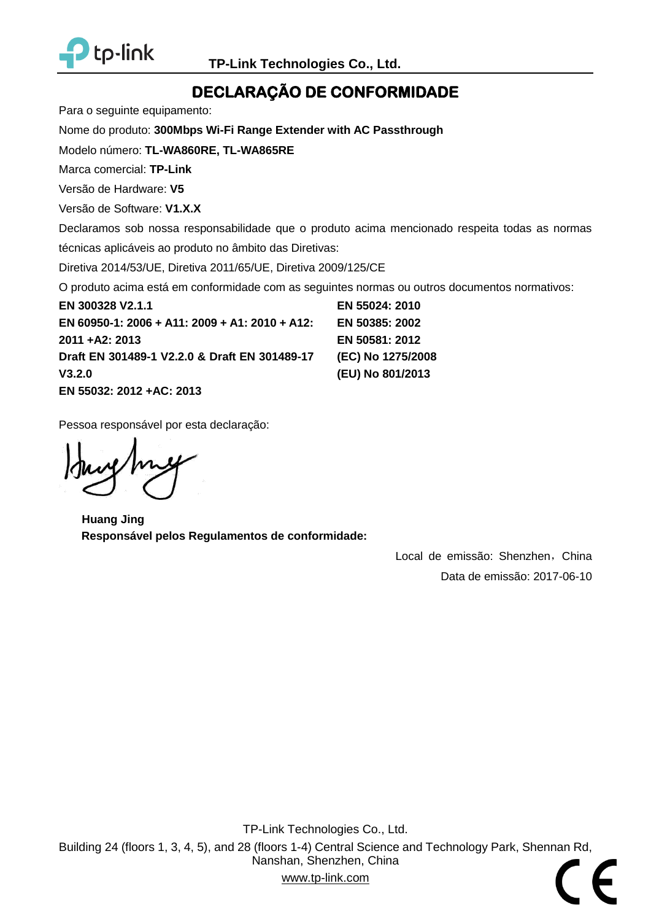

## **DECLARAÇÃO DE CONFORMIDADE**

Para o seguinte equipamento:

Nome do produto: **[300Mbps Wi-Fi Range Extender with AC Passthrough](#page-0-2)**

Modelo número: **[TL-WA860RE, TL-WA865RE](#page-0-0)**

Marca comercial: **TP-Link**

Versão de Hardware: **V5**

Versão de Software: **V1.X.X**

Declaramos sob nossa responsabilidade que o produto acima mencionado respeita todas as normas técnicas aplicáveis ao produto no âmbito das Diretivas:

Diretiva 2014/53/UE, Diretiva 2011/65/UE, Diretiva 2009/125/CE

O produto acima está em conformidade com as seguintes normas ou outros documentos normativos:

**[EN 300328 V2.1.1](#page-0-3) [EN 60950-1: 2006 + A11: 2009 + A1: 2010 + A12:](#page-0-3)  [2011 +A2: 2013](#page-0-3) [Draft EN 301489-1 V2.2.0](#page-0-3) & Draft EN 301489-17 [V3.2.0](#page-0-3) [EN 55032: 2012 +AC: 2013](#page-0-3) [EN 55024: 2010](#page-0-3) [EN 50385: 2002](#page-0-3) [EN 50581: 2012](#page-0-3) [\(EC\) No 1275/2008](#page-0-3) [\(EU\) No 801/2013](#page-0-3)**

Pessoa responsável por esta declaração:

**Huang Jing Responsável pelos Regulamentos de conformidade:**

Local de emissão: Shenzhen, China Data de emissão: [2017-06-10](#page-0-1)

TP-Link Technologies Co., Ltd. Building 24 (floors 1, 3, 4, 5), and 28 (floors 1-4) Central Science and Technology Park, Shennan Rd, Nanshan, Shenzhen, China www.tp-link.com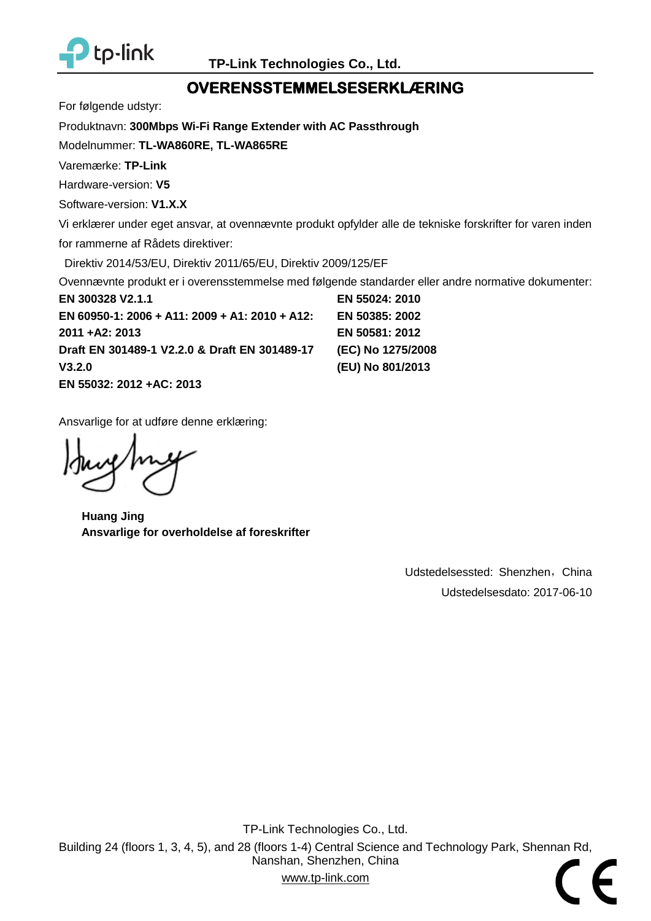

## **OVERENSSTEMMELSESERKLÆ RING**

For følgende udstyr:

Produktnavn: **[300Mbps Wi-Fi Range Extender with AC Passthrough](#page-0-2)**

Modelnummer: **[TL-WA860RE, TL-WA865RE](#page-0-0)**

Varemærke: **TP-Link**

Hardware-version: **V5**

Software-version: **V1.X.X**

Vi erklærer under eget ansvar, at ovennævnte produkt opfylder alle de tekniske forskrifter for varen inden for rammerne af Rådets direktiver:

Direktiv 2014/53/EU, Direktiv 2011/65/EU, Direktiv 2009/125/EF

Ovennævnte produkt er i overensstemmelse med følgende standarder eller andre normative dokumenter:

**[EN 300328 V2.1.1](#page-0-3) [EN 60950-1: 2006 + A11: 2009 + A1: 2010 + A12:](#page-0-3)  [2011 +A2: 2013](#page-0-3) [Draft EN 301489-1 V2.2.0](#page-0-3) & Draft EN 301489-17 [V3.2.0](#page-0-3) [EN 55032: 2012 +AC: 2013](#page-0-3) [EN 55024: 2010](#page-0-3) [EN 50385: 2002](#page-0-3) [EN 50581: 2012](#page-0-3) [\(EC\) No 1275/2008](#page-0-3) [\(EU\) No 801/2013](#page-0-3)**

Ansvarlige for at udføre denne erklæring:

**Huang Jing Ansvarlige for overholdelse af foreskrifter**

Udstedelsessted: Shenzhen, China Udstedelsesdato: [2017-06-10](#page-0-1)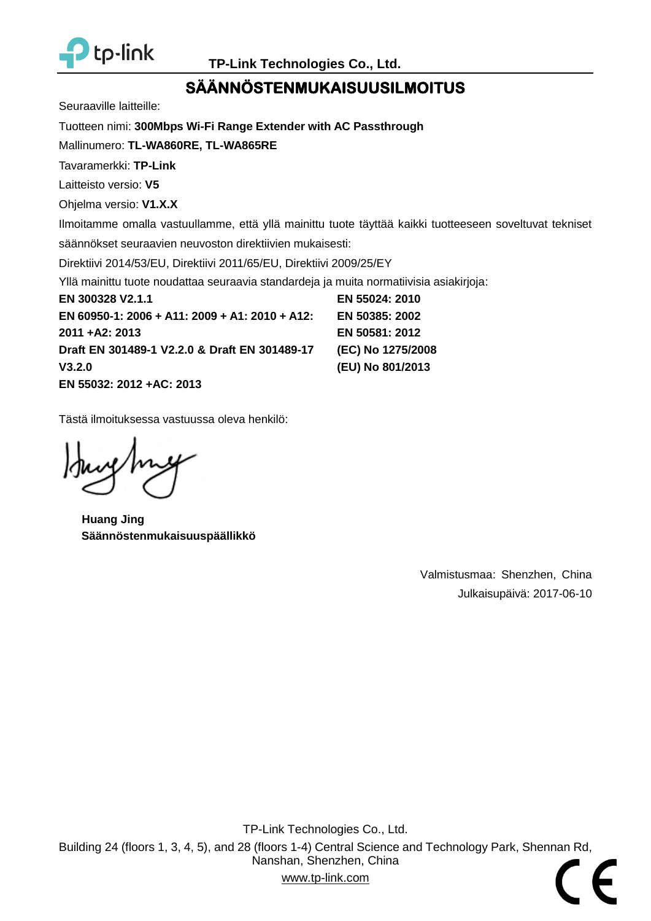

## **SÄ Ä NNÖ STENMUKAISUUSILMOITUS**

Seuraaville laitteille:

Tuotteen nimi: **[300Mbps Wi-Fi Range Extender with AC Passthrough](#page-0-2)**

Mallinumero: **[TL-WA860RE, TL-WA865RE](#page-0-0)**

Tavaramerkki: **TP-Link**

Laitteisto versio: **V5**

Ohjelma versio: **V1.X.X**

Ilmoitamme omalla vastuullamme, että yllä mainittu tuote täyttää kaikki tuotteeseen soveltuvat tekniset säännökset seuraavien neuvoston direktiivien mukaisesti:

Direktiivi 2014/53/EU, Direktiivi 2011/65/EU, Direktiivi 2009/25/EY

Yllä mainittu tuote noudattaa seuraavia standardeja ja muita normatiivisia asiakirjoja:

**[EN 300328 V2.1.1](#page-0-3) [EN 60950-1: 2006 + A11: 2009 + A1: 2010 + A12:](#page-0-3)  [2011 +A2: 2013](#page-0-3) [Draft EN 301489-1 V2.2.0](#page-0-3) & Draft EN 301489-17 [V3.2.0](#page-0-3) [EN 55032: 2012 +AC: 2013](#page-0-3) [EN 55024: 2010](#page-0-3) [EN 50385: 2002](#page-0-3) [EN 50581: 2012](#page-0-3) [\(EC\) No 1275/2008](#page-0-3) [\(EU\) No 801/2013](#page-0-3)**

Tästä ilmoituksessa vastuussa oleva henkilö:

**Huang Jing Säännöstenmukaisuuspäällikkö**

Valmistusmaa: Shenzhen, China Julkaisupäivä: [2017-06-10](#page-0-1)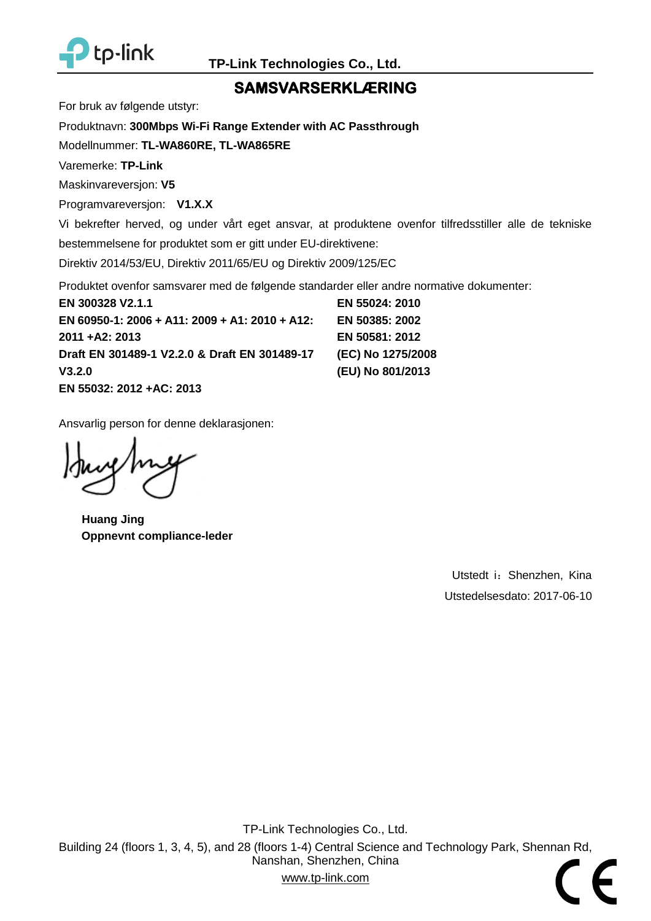

### **SAMSVARSERKLÆ RING**

For bruk av følgende utstyr:

Produktnavn: **[300Mbps Wi-Fi Range Extender with AC Passthrough](#page-0-2)**

Modellnummer: **[TL-WA860RE, TL-WA865RE](#page-0-0)**

Varemerke: **TP-Link**

Maskinvareversjon: **V5**

Programvareversjon: **V1.X.X**

Vi bekrefter herved, og under vårt eget ansvar, at produktene ovenfor tilfredsstiller alle de tekniske bestemmelsene for produktet som er gitt under EU-direktivene:

Direktiv 2014/53/EU, Direktiv 2011/65/EU og Direktiv 2009/125/EC

Produktet ovenfor samsvarer med de følgende standarder eller andre normative dokumenter:

**[EN 300328 V2.1.1](#page-0-3) [EN 60950-1: 2006 + A11: 2009 + A1: 2010 + A12:](#page-0-3)  [2011 +A2: 2013](#page-0-3) [Draft EN 301489-1 V2.2.0](#page-0-3) & Draft EN 301489-17 [V3.2.0](#page-0-3) [EN 55032: 2012 +AC: 2013](#page-0-3) [EN 55024: 2010](#page-0-3) [EN 50385: 2002](#page-0-3) [EN 50581: 2012](#page-0-3) [\(EC\) No 1275/2008](#page-0-3) [\(EU\) No 801/2013](#page-0-3)**

Ansvarlig person for denne deklarasjonen:

**Huang Jing Oppnevnt compliance-leder**

Utstedt i: Shenzhen, Kina Utstedelsesdato: [2017-06-10](#page-0-1)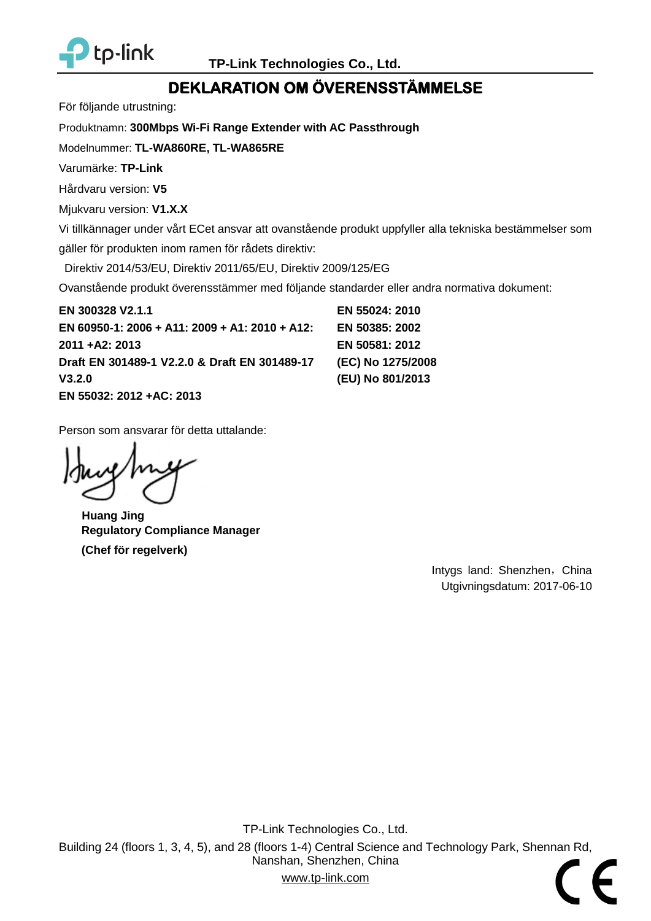

## **DEKLARATION OM Ö VERENSSTÄ MMELSE**

För följande utrustning:

Produktnamn: **[300Mbps Wi-Fi Range Extender with AC Passthrough](#page-0-2)**

Modelnummer: **[TL-WA860RE, TL-WA865RE](#page-0-0)**

Varumärke: **TP-Link**

Hårdvaru version: **V5**

Mjukvaru version: **V1.X.X**

Vi tillkännager under vårt ECet ansvar att ovanstående produkt uppfyller alla tekniska bestämmelser som

gäller för produkten inom ramen för rådets direktiv:

Direktiv 2014/53/EU, Direktiv 2011/65/EU, Direktiv 2009/125/EG

Ovanstående produkt överensstämmer med följande standarder eller andra normativa dokument:

**[EN 300328 V2.1.1](#page-0-3) [EN 60950-1: 2006 + A11: 2009 + A1: 2010 + A12:](#page-0-3)  [2011 +A2: 2013](#page-0-3) [Draft EN 301489-1 V2.2.0](#page-0-3) & Draft EN 301489-17 [V3.2.0](#page-0-3) [EN 55032: 2012 +AC: 2013](#page-0-3)**

**[EN 55024: 2010](#page-0-3) [EN 50385: 2002](#page-0-3) [EN 50581: 2012](#page-0-3) [\(EC\) No 1275/2008](#page-0-3) [\(EU\) No 801/2013](#page-0-3)**

Person som ansvarar för detta uttalande:

**Huang Jing Regulatory Compliance Manager (Chef för regelverk)**

Intygs land: Shenzhen, China Utgivningsdatum: [2017-06-10](#page-0-1)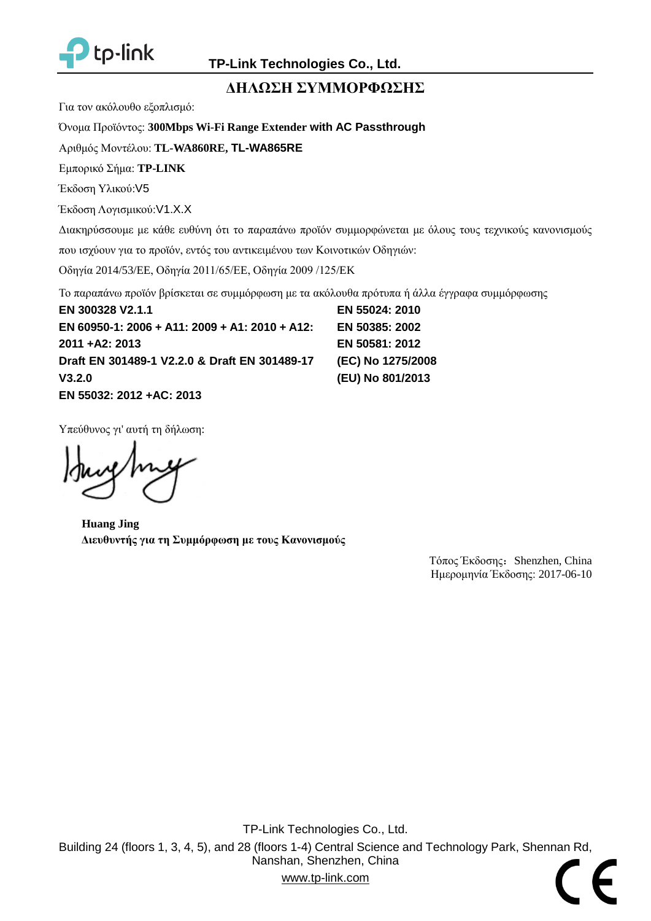

### **ΔΗΛΩΣΗ ΣΥΜΜΟΡΦΩΣΗΣ**

Για τον ακόλουθο εξοπλισμό:

Όνομα Προϊόντος: **[300Mbps Wi-Fi Range Extender](#page-0-2) with AC Passthrough**

Αριθμός Μοντέλου: **[TL-WA860RE,](#page-0-0) TL-WA865RE**

Εμπορικό Σήμα: **TP-LINK**

Έκδοση Υλικού:[V5](#page-0-4)

Έκδοση Λογισμικού:[V1.X.X](#page-0-5)

Διακηρύσσουμε με κάθε ευθύνη ότι το παραπάνω προϊόν συμμορφώνεται με όλους τους τεχνικούς κανονισμούς

που ισχύουν για το προϊόν, εντός του αντικειμένου των Κοινοτικών Οδηγιών:

Οδηγία 2014/53/EE, Οδηγία 2011/65/EE, Οδηγία 2009 /125/EK

Το παραπάνω προϊόν βρίσκεται σε συμμόρφωση με τα ακόλουθα πρότυπα ή άλλα έγγραφα συμμόρφωσης

**[EN 300328 V2.1.1](#page-0-3) [EN 60950-1: 2006 + A11: 2009 + A1: 2010 + A12:](#page-0-3)  [2011 +A2: 2013](#page-0-3) [Draft EN 301489-1 V2.2.0](#page-0-3) & Draft EN 301489-17 [V3.2.0](#page-0-3) [EN 55032: 2012 +AC: 2013](#page-0-3)**

**[EN 55024: 2010](#page-0-3) [EN 50385: 2002](#page-0-3) [EN 50581: 2012](#page-0-3) [\(EC\) No 1275/2008](#page-0-3) [\(EU\) No 801/2013](#page-0-3)**

Υπεύθυνος γι' αυτή τη δήλωση:

**Huang Jing Διευθυντής για τη Συμμόρφωση με τους Κανονισμούς**

Τόπος Έκδοσης: Shenzhen, China Ημερομηνία Έκδοσης: [2017-06-10](#page-0-1)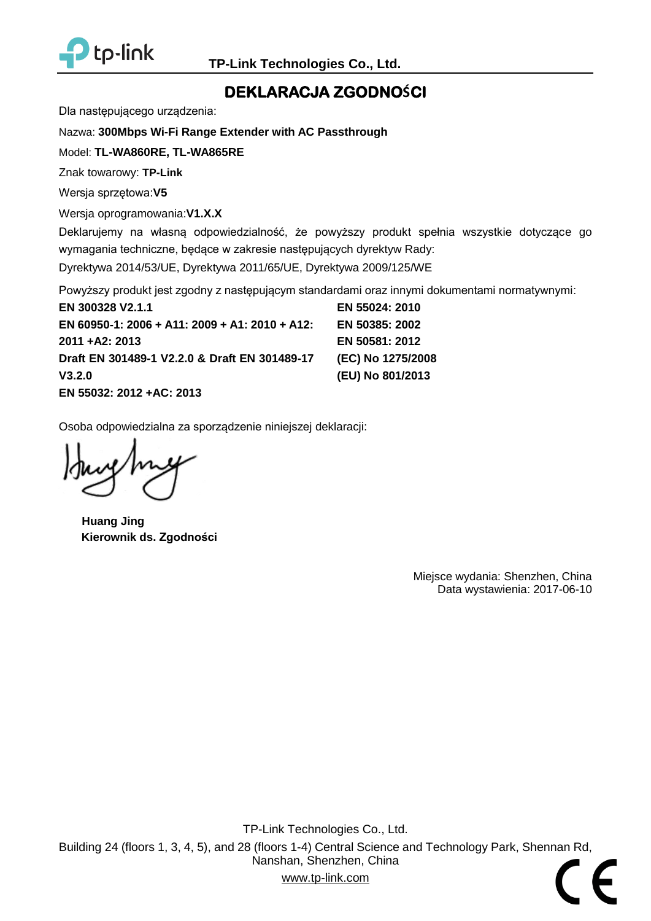

## **DEKLARACJA ZGODNOŚCI**

Dla następującego urządzenia:

#### Nazwa: **[300Mbps Wi-Fi Range Extender with AC Passthrough](#page-0-2)**

Model: **[TL-WA860RE, TL-WA865RE](#page-0-0)**

Znak towarowy: **TP-Link**

Wersja sprzętowa:**V5**

Wersja oprogramowania:**V1.X.X**

Deklarujemy na własną odpowiedzialność, że powyższy produkt spełnia wszystkie dotyczące go wymagania techniczne, będące w zakresie następujących dyrektyw Rady: Dyrektywa 2014/53/UE, Dyrektywa 2011/65/UE, Dyrektywa 2009/125/WE

Powyższy produkt jest zgodny z następującym standardami oraz innymi dokumentami normatywnymi:

**[EN 300328 V2.1.1](#page-0-3) [EN 60950-1: 2006 + A11: 2009 + A1: 2010 + A12:](#page-0-3)  [2011 +A2: 2013](#page-0-3) [Draft EN 301489-1 V2.2.0](#page-0-3) & Draft EN 301489-17 [V3.2.0](#page-0-3) [EN 55024: 2010](#page-0-3) [EN 50385: 2002](#page-0-3) [EN 50581: 2012](#page-0-3) [\(EC\) No 1275/2008](#page-0-3) [\(EU\) No 801/2013](#page-0-3)**

**[EN 55032: 2012 +AC: 2013](#page-0-3)**

Osoba odpowiedzialna za sporządzenie niniejszej deklaracji:

**Huang Jing Kierownik ds. Zgodności**

Miejsce wydania: Shenzhen, China Data wystawienia: [2017-06-10](#page-0-1)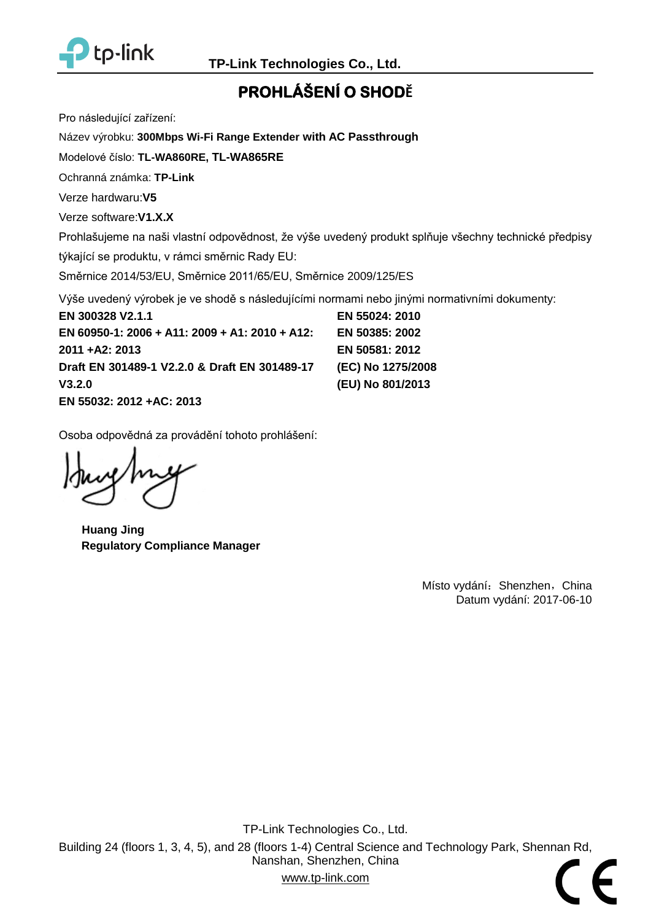

# **PROHLÁŠENÍ O SHODĚ**

Pro následující zařízení:

Název výrobku: **[300Mbps Wi-Fi Range Extender](#page-0-2) with AC Passthrough**

Modelové číslo: **TL-WA860RE, [TL-WA865RE](#page-0-0)**

Ochranná známka: **TP-Link**

Verze hardwaru:**V5**

Verze software:**V1.X.X**

Prohlašujeme na naši vlastní odpovědnost, že výše uvedený produkt splňuje všechny technické předpisy

týkající se produktu, v rámci směrnic Rady EU:

Směrnice 2014/53/EU, Směrnice 2011/65/EU, Směrnice 2009/125/ES

Výše uvedený výrobek je ve shodě s následujícími normami nebo jinými normativními dokumenty:

**[EN 300328 V2.1.1](#page-0-3) [EN 60950-1: 2006 + A11: 2009 + A1: 2010 + A12:](#page-0-3)  [2011 +A2: 2013](#page-0-3) [Draft EN 301489-1 V2.2.0](#page-0-3) & Draft EN 301489-17 [V3.2.0](#page-0-3) [EN 55032: 2012 +AC: 2013](#page-0-3) [EN 55024: 2010](#page-0-3) [EN 50385: 2002](#page-0-3) [EN 50581: 2012](#page-0-3) [\(EC\) No 1275/2008](#page-0-3) [\(EU\) No 801/2013](#page-0-3)**

Osoba odpovědná za provádění tohoto prohlášení:

**Huang Jing Regulatory Compliance Manager**

Místo vydání: Shenzhen, China Datum vydání: [2017-06-10](#page-0-1)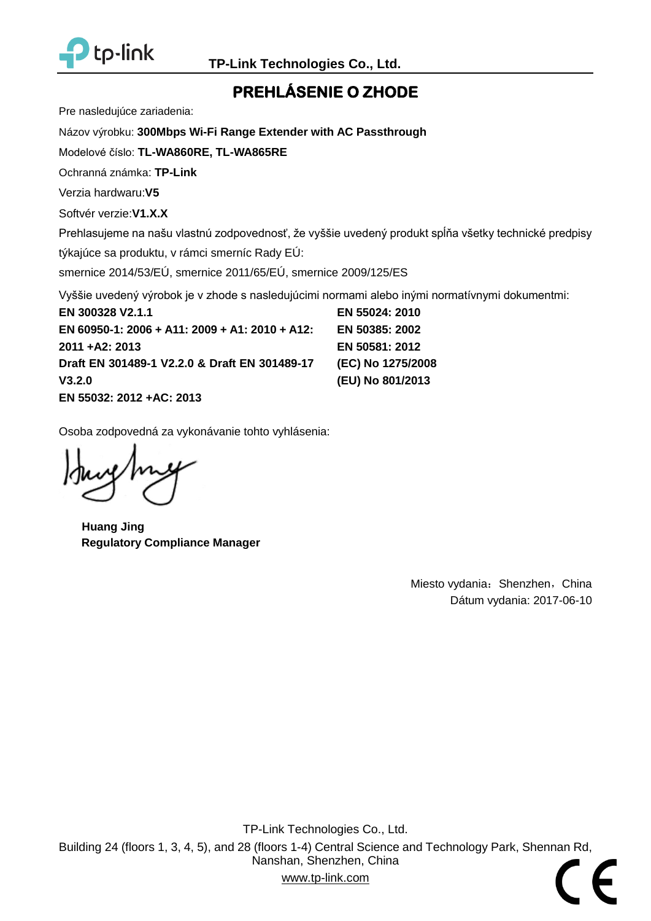

# **PREHLÁ SENIE O ZHODE**

Pre nasledujúce zariadenia:

Názov výrobku: **[300Mbps Wi-Fi Range Extender with AC Passthrough](#page-0-2)**

Modelové číslo: **[TL-WA860RE, TL-WA865RE](#page-0-0)**

Ochranná známka: **TP-Link**

Verzia hardwaru:**V5**

Softvér verzie:**V1.X.X**

Prehlasujeme na našu vlastnú zodpovednosť, že vyššie uvedený produkt spĺňa všetky technické predpisy

týkajúce sa produktu, v rámci smerníc Rady EÚ:

smernice 2014/53/EÚ, smernice 2011/65/EÚ, smernice 2009/125/ES

Vyššie uvedený výrobok je v zhode s nasledujúcimi normami alebo inými normatívnymi dokumentmi:

**[EN 300328 V2.1.1](#page-0-3) [EN 60950-1: 2006 + A11: 2009 + A1: 2010 + A12:](#page-0-3)  [2011 +A2: 2013](#page-0-3) [Draft EN 301489-1 V2.2.0](#page-0-3) & Draft EN 301489-17 [V3.2.0](#page-0-3) [EN 55032: 2012 +AC: 2013](#page-0-3)**

**[EN 55024: 2010](#page-0-3) [EN 50385: 2002](#page-0-3) [EN 50581: 2012](#page-0-3) [\(EC\) No 1275/2008](#page-0-3) [\(EU\) No 801/2013](#page-0-3)**

Osoba zodpovedná za vykonávanie tohto vyhlásenia:

**Huang Jing Regulatory Compliance Manager**

Miesto vydania: Shenzhen, China Dátum vydania: [2017-06-10](#page-0-1)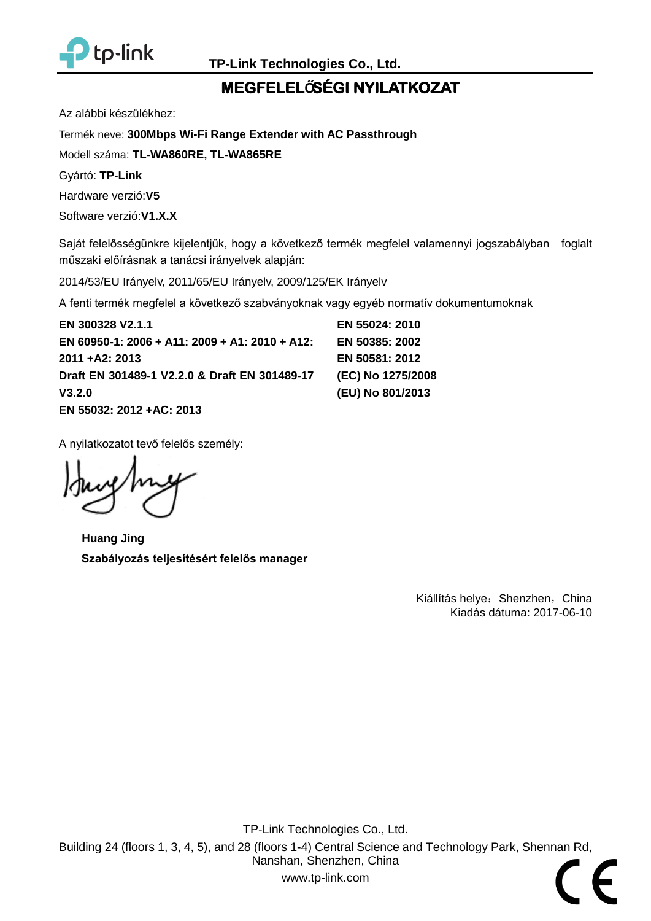

# **MEGFELELŐSÉ GI NYILATKOZAT**

Az alábbi készülékhez:

Termék neve: **[300Mbps Wi-Fi Range Extender with AC Passthrough](#page-0-2)**

Modell száma: **[TL-WA860RE, TL-WA865RE](#page-0-0)**

Gyártó: **TP-Link**

Hardware verzió:**V5**

Software verzió:**V1.X.X**

Saját felelősségünkre kijelentjük, hogy a következő termék megfelel valamennyi jogszabályban foglalt műszaki előírásnak a tanácsi irányelvek alapján:

2014/53/EU Irányelv, 2011/65/EU Irányelv, 2009/125/EK Irányelv

A fenti termék megfelel a következő szabványoknak vagy egyéb normatív dokumentumoknak

**[EN 300328 V2.1.1](#page-0-3) [EN 60950-1: 2006 + A11: 2009 + A1: 2010 + A12:](#page-0-3)  [2011 +A2: 2013](#page-0-3) [Draft EN 301489-1 V2.2.0](#page-0-3) & Draft EN 301489-17 [V3.2.0](#page-0-3) [EN 55032: 2012 +AC: 2013](#page-0-3)**

**[EN 55024: 2010](#page-0-3) [EN 50385: 2002](#page-0-3) [EN 50581: 2012](#page-0-3) [\(EC\) No 1275/2008](#page-0-3) [\(EU\) No 801/2013](#page-0-3)**

A nyilatkozatot tevő felelős személy:

**Huang Jing Szabályozás teljesítésért felelős manager**

Kiállítás helye: Shenzhen, China Kiadás dátuma: [2017-06-10](#page-0-1)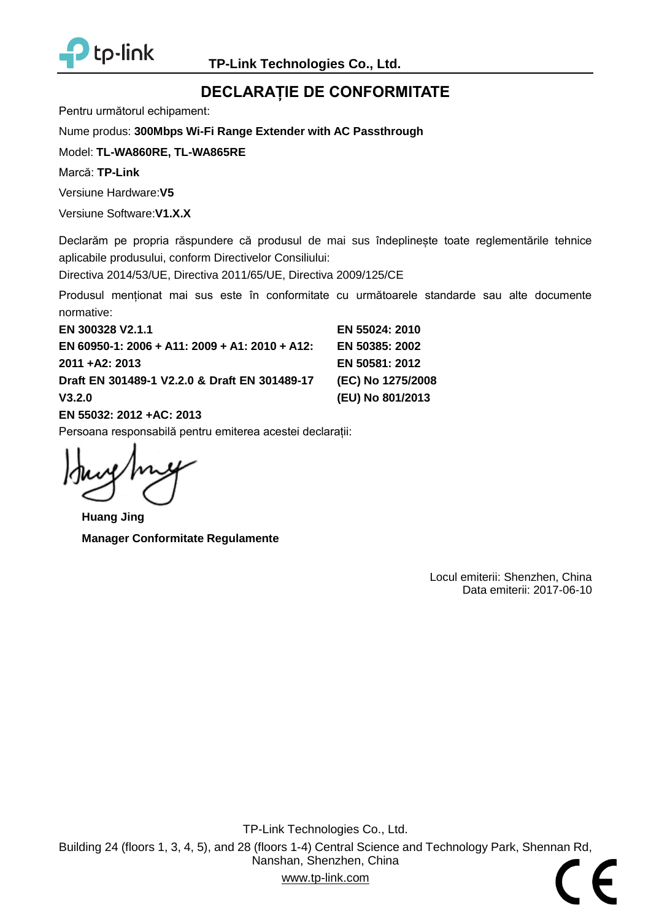

## **DECLARAȚIE DE CONFORMITATE**

Pentru următorul echipament:

Nume produs: **[300Mbps Wi-Fi Range Extender with AC Passthrough](#page-0-2)**

Model: **[TL-WA860RE, TL-WA865RE](#page-0-0)**

Marcă: **TP-Link**

Versiune Hardware:**V5**

Versiune Software:**V1.X.X**

Declarăm pe propria răspundere că produsul de mai sus îndeplineste toate reglementările tehnice aplicabile produsului, conform Directivelor Consiliului:

Directiva 2014/53/UE, Directiva 2011/65/UE, Directiva 2009/125/CE

Produsul menționat mai sus este în conformitate cu următoarele standarde sau alte documente normative:

**[EN 300328 V2.1.1](#page-0-3) [EN 60950-1: 2006 + A11: 2009 + A1: 2010 + A12:](#page-0-3)  [2011 +A2: 2013](#page-0-3) [Draft EN 301489-1 V2.2.0](#page-0-3) & Draft EN 301489-17 [V3.2.0](#page-0-3) [EN 55032: 2012 +AC: 2013](#page-0-3) [EN 55024: 2010](#page-0-3) [EN 50385: 2002](#page-0-3) [EN 50581: 2012](#page-0-3) [\(EC\) No 1275/2008](#page-0-3) [\(EU\) No 801/2013](#page-0-3)**

Persoana responsabilă pentru emiterea acestei declarații:

**Huang Jing Manager Conformitate Regulamente**

Locul emiterii: Shenzhen, China Data emiterii: [2017-06-10](#page-0-1)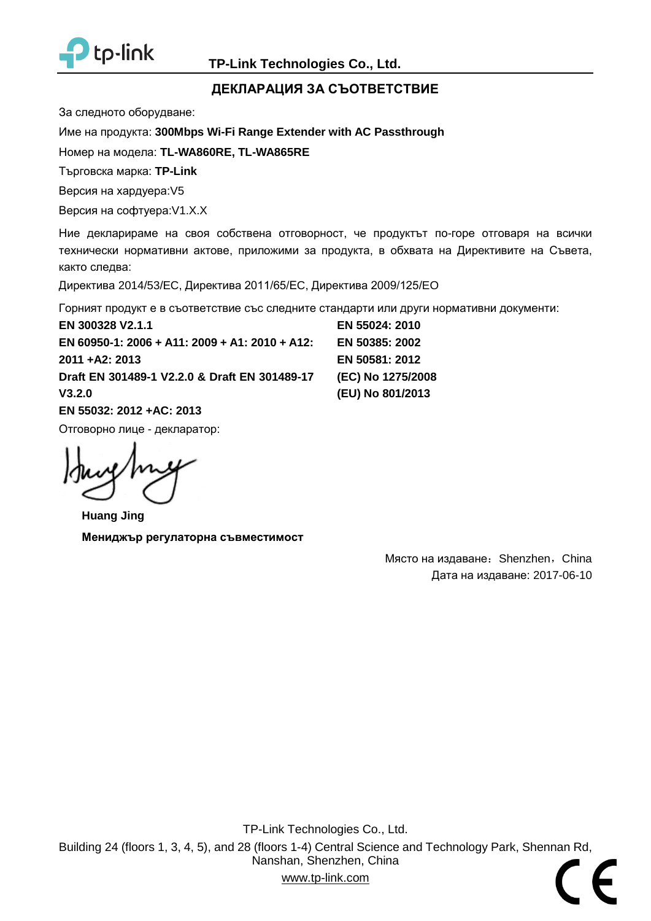

#### **ДЕКЛАРАЦИЯ ЗА СЪОТВЕТСТВИЕ**

За следното оборудване:

Име на продукта: **[300Mbps Wi-Fi Range Extender](#page-0-2) with AC Passthrough**

Номер на модела: **[TL-WA860RE, TL-WA865RE](#page-0-0)**

Търговска марка: **TP-Link**

Версия на хардуера:V5

Версия на софтуера:V1.X.X

Ние декларираме на своя собствена отговорност, че продуктът по-горе отговаря на всички технически нормативни актове, приложими за продукта, в обхвата на Директивите на Съвета, както следва:

Директива 2014/53/EC, Директива 2011/65/ЕC, Директива 2009/125/EO

Горният продукт е в съответствие със следните стандарти или други нормативни документи:

**[EN 300328 V2.1.1](#page-0-3) EN 60950-1: 2006 [+ A11: 2009 + A1: 2010 + A12:](#page-0-3)  [2011 +A2: 2013](#page-0-3) [Draft EN 301489-1 V2.2.0](#page-0-3) & Draft EN 301489-17 [V3.2.0](#page-0-3) [EN 55032: 2012 +AC: 2013](#page-0-3)** Отговорно лице - декларатор:

**Huang Jing Мениджър регулаторна съвместимост**

**[EN 55024: 2010](#page-0-3) [EN 50385: 2002](#page-0-3) [EN 50581: 2012](#page-0-3) [\(EC\) No 1275/2008](#page-0-3) [\(EU\) No 801/2013](#page-0-3)**

> Място на издаване: Shenzhen, China Дата на издаване: [2017-06-10](#page-0-1)

TP-Link Technologies Co., Ltd. Building 24 (floors 1, 3, 4, 5), and 28 (floors 1-4) Central Science and Technology Park, Shennan Rd, Nanshan, Shenzhen, China www.tp-link.com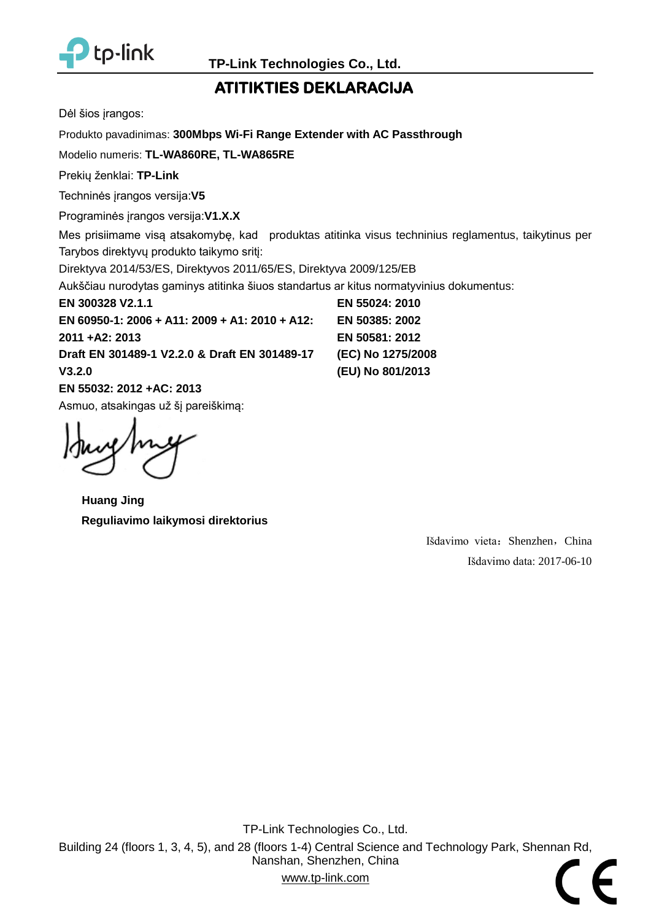

## **ATITIKTIES DEKLARACIJA**

Dėl šios įrangos:

Produkto pavadinimas: **[300Mbps Wi-Fi Range Extender with AC Passthrough](#page-0-2)**

Modelio numeris: **[TL-WA860RE, TL-WA865RE](#page-0-0)**

Prekių ženklai: **TP-Link**

Techninės įrangos versija:**V5**

Programinės įrangos versija:**V1.X.X**

Mes prisiimame visą atsakomybę, kad produktas atitinka visus techninius reglamentus, taikytinus per Tarybos direktyvų produkto taikymo sritį:

Direktyva 2014/53/ES, Direktyvos 2011/65/ES, Direktyva 2009/125/EB

Aukščiau nurodytas gaminys atitinka šiuos standartus ar kitus normatyvinius dokumentus:

**[EN 300328 V2.1.1](#page-0-3)**

**[EN 60950-1: 2006 + A11: 2009 + A1: 2010 + A12:](#page-0-3)  [2011 +A2: 2013](#page-0-3) [Draft EN 301489-1 V2.2.0](#page-0-3) & Draft EN 301489-17 [V3.2.0](#page-0-3)**

**[EN 55032: 2012 +AC: 2013](#page-0-3)** Asmuo, atsakingas už šį pareiškimą:

**Huang Jing Reguliavimo laikymosi direktorius**

**[EN 50581: 2012](#page-0-3) [\(EC\) No 1275/2008](#page-0-3) [\(EU\) No 801/2013](#page-0-3)**

**[EN 55024: 2010](#page-0-3) [EN 50385: 2002](#page-0-3)**

> Išdavimo vieta: Shenzhen, China Išdavimo data: [2017-06-10](#page-0-1)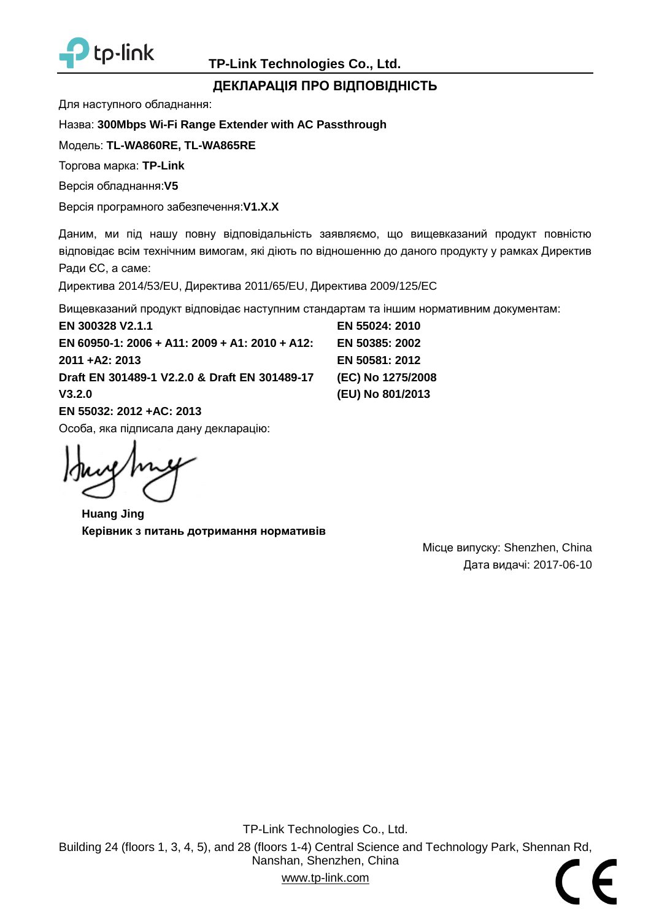

#### **ДЕКЛАРАЦІЯ ПРО ВІДПОВІДНІСТЬ**

Для наступного обладнання:

Назва: **[300Mbps Wi-Fi Range Extender with AC Passthrough](#page-0-2)**

Модель: **[TL-WA860RE,](#page-0-0) TL-WA865RE**

Торгова марка: **TP-Link**

Версія обладнання:**V5**

Версія програмного забезпечення:**V1.X.X**

Даним, ми під нашу повну відповідальність заявляємо, що вищевказаний продукт повністю відповідає всім технічним вимогам, які діють по відношенню до даного продукту у рамках Директив Ради ЄС, а саме:

Директива 2014/53/EU, Директива 2011/65/EU, Директива 2009/125/EC

Вищевказаний продукт відповідає наступним стандартам та іншим нормативним документам:

**[EN 300328 V2.1.1](#page-0-3) EN 60950-1: 2006 [+ A11: 2009 + A1: 2010 + A12:](#page-0-3)  [2011 +A2: 2013](#page-0-3) [Draft EN 301489-1 V2.2.0](#page-0-3) & Draft EN 301489-17 [V3.2.0](#page-0-3) [EN 55032: 2012 +AC: 2013](#page-0-3)**

Особа, яка підписала дану декларацію:

**Huang Jing Керівник з питань дотримання нормативів** 

**[EN 55024: 2010](#page-0-3) [EN 50385: 2002](#page-0-3) [EN 50581: 2012](#page-0-3) [\(EC\) No 1275/2008](#page-0-3) [\(EU\) No 801/2013](#page-0-3)**

> Місце випуску: Shenzhen, China Дата видачі: [2017-06-10](#page-0-1)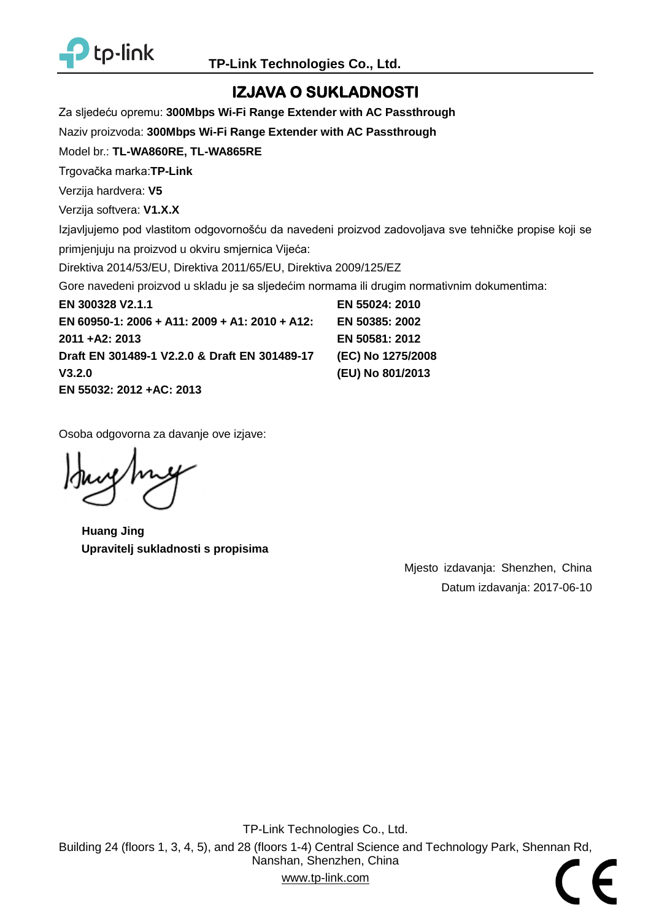

## **IZJAVA O SUKLADNOSTI**

Za sljedeću opremu: **300Mbps Wi-Fi Range Extender with AC Passthrough**

Naziv proizvoda: **300Mbps Wi-Fi Range Extender with AC Passthrough**

Model br.: **TL-WA860RE, TL-WA865RE**

Trgovačka marka:**TP-Link**

Verzija hardvera: **V5**

Verzija softvera: **V1.X.X**

Izjavljujemo pod vlastitom odgovornošću da navedeni proizvod zadovoljava sve tehničke propise koji se

primjenjuju na proizvod u okviru smjernica Vijeća:

Direktiva 2014/53/EU, Direktiva 2011/65/EU, Direktiva 2009/125/EZ

Gore navedeni proizvod u skladu je sa sljedećim normama ili drugim normativnim dokumentima:

**EN 300328 V2.1.1 EN 60950-1: 2006 + A11: 2009 + A1: 2010 + A12: 2011 +A2: 2013 Draft EN 301489-1 V2.2.0 & Draft EN 301489-17 V3.2.0 EN 55032: 2012 +AC: 2013 EN 55024: 2010 EN 50385: 2002 EN 50581: 2012 (EC) No 1275/2008 (EU) No 801/2013**

Osoba odgovorna za davanje ove izjave:

**Huang Jing Upravitelj sukladnosti s propisima**

Mjesto izdavanja: Shenzhen, China Datum izdavanja: 2017-06-10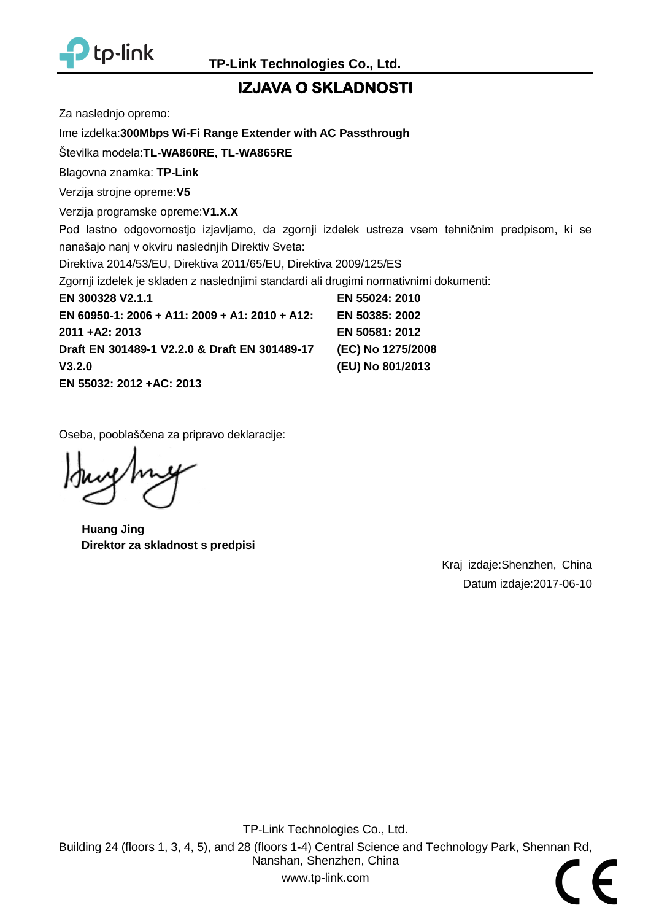

## **IZJAVA O SKLADNOSTI**

Za naslednjo opremo:

Ime izdelka:**300Mbps Wi-Fi Range Extender with AC Passthrough**

Številka modela:**TL-WA860RE, TL-WA865RE**

Blagovna znamka: **TP-Link**

Verzija strojne opreme:**V5**

Verzija programske opreme:**V1.X.X**

Pod lastno odgovornostjo izjavljamo, da zgornji izdelek ustreza vsem tehničnim predpisom, ki se nanašajo nanj v okviru naslednjih Direktiv Sveta:

Direktiva 2014/53/EU, Direktiva 2011/65/EU, Direktiva 2009/125/ES

Zgornji izdelek je skladen z naslednjimi standardi ali drugimi normativnimi dokumenti:

**EN 300328 V2.1.1 EN 60950-1: 2006 + A11: 2009 + A1: 2010 + A12: 2011 +A2: 2013 Draft EN 301489-1 V2.2.0 & Draft EN 301489-17 V3.2.0 EN 55032: 2012 +AC: 2013 EN 55024: 2010 EN 50385: 2002 EN 50581: 2012 (EC) No 1275/2008 (EU) No 801/2013**

Oseba, pooblaščena za pripravo deklaracije:

**Huang Jing Direktor za skladnost s predpisi**

Kraj izdaje:Shenzhen, China Datum izdaje:2017-06-10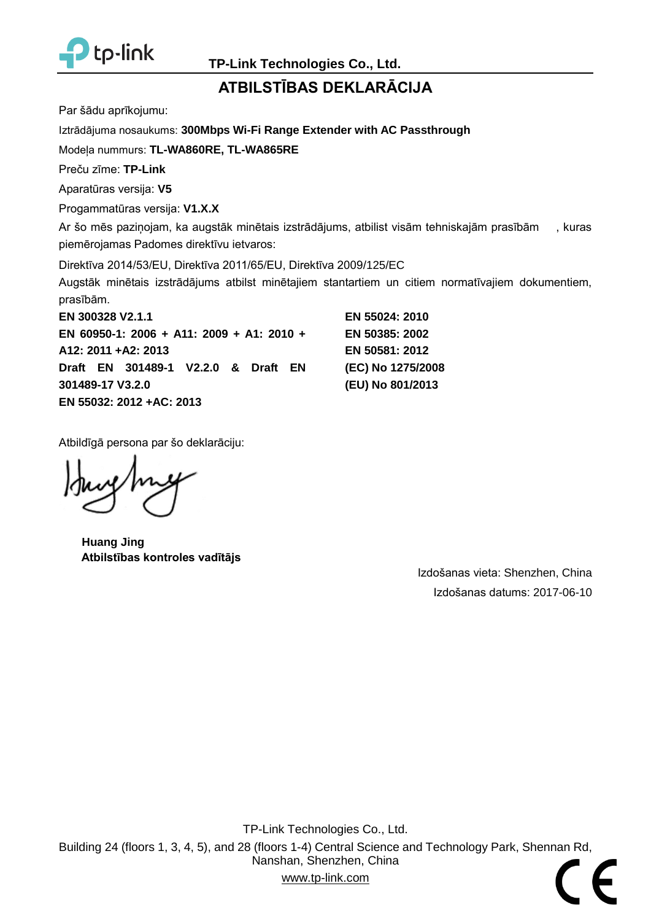

## **ATBILSTĪBAS DEKLARĀCIJA**

Par šādu aprīkojumu:

Iztrādājuma nosaukums: **300Mbps Wi-Fi Range Extender with AC Passthrough**

Modeļa nummurs: **TL-WA860RE, TL-WA865RE**

Preču zīme: **TP-Link**

Aparatūras versija: **V5**

Progammatūras versija: **V1.X.X**

Ar šo mēs paziņojam, ka augstāk minētais izstrādājums, atbilist visām tehniskajām prasībām , kuras piemērojamas Padomes direktīvu ietvaros:

Direktīva 2014/53/EU, Direktīva 2011/65/EU, Direktīva 2009/125/EC

Augstāk minētais izstrādājums atbilst minētajiem stantartiem un citiem normatīvajiem dokumentiem, prasībām.

**EN 300328 V2.1.1 EN 60950-1: 2006 + A11: 2009 + A1: 2010 + A12: 2011 +A2: 2013 Draft EN 301489-1 V2.2.0 & Draft EN 301489-17 V3.2.0 EN 55032: 2012 +AC: 2013**

**EN 55024: 2010 EN 50385: 2002 EN 50581: 2012 (EC) No 1275/2008 (EU) No 801/2013**

Atbildīgā persona par šo deklarāciju:

**Huang Jing Atbilstības kontroles vadītājs**

Izdošanas vieta: Shenzhen, China Izdošanas datums: 2017-06-10